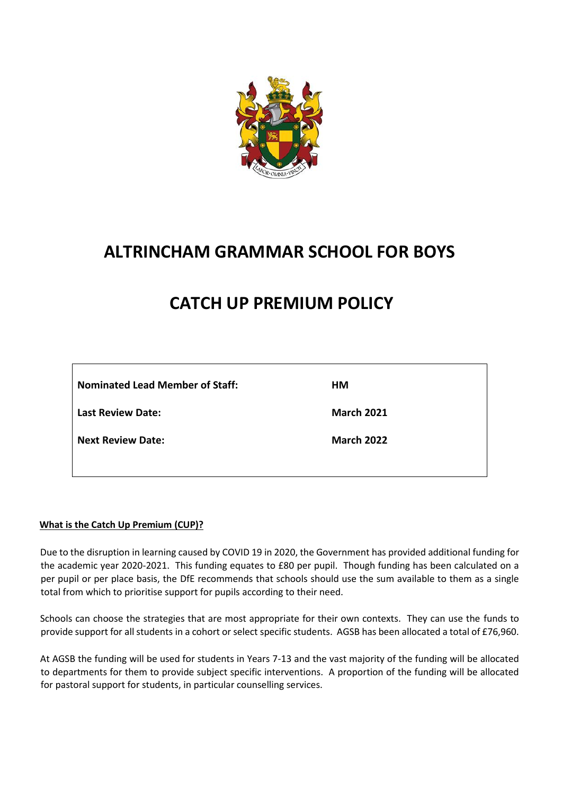

## **ALTRINCHAM GRAMMAR SCHOOL FOR BOYS**

## **CATCH UP PREMIUM POLICY**

| <b>Nominated Lead Member of Staff:</b> | HМ                |
|----------------------------------------|-------------------|
| <b>Last Review Date:</b>               | <b>March 2021</b> |
| <b>Next Review Date:</b>               | <b>March 2022</b> |

#### **What is the Catch Up Premium (CUP)?**

Due to the disruption in learning caused by COVID 19 in 2020, the Government has provided additional funding for the academic year 2020-2021. This funding equates to £80 per pupil. Though funding has been calculated on a per pupil or per place basis, the DfE recommends that schools should use the sum available to them as a single total from which to prioritise support for pupils according to their need.

Schools can choose the strategies that are most appropriate for their own contexts. They can use the funds to provide support for all students in a cohort or select specific students. AGSB has been allocated a total of £76,960.

At AGSB the funding will be used for students in Years 7-13 and the vast majority of the funding will be allocated to departments for them to provide subject specific interventions. A proportion of the funding will be allocated for pastoral support for students, in particular counselling services.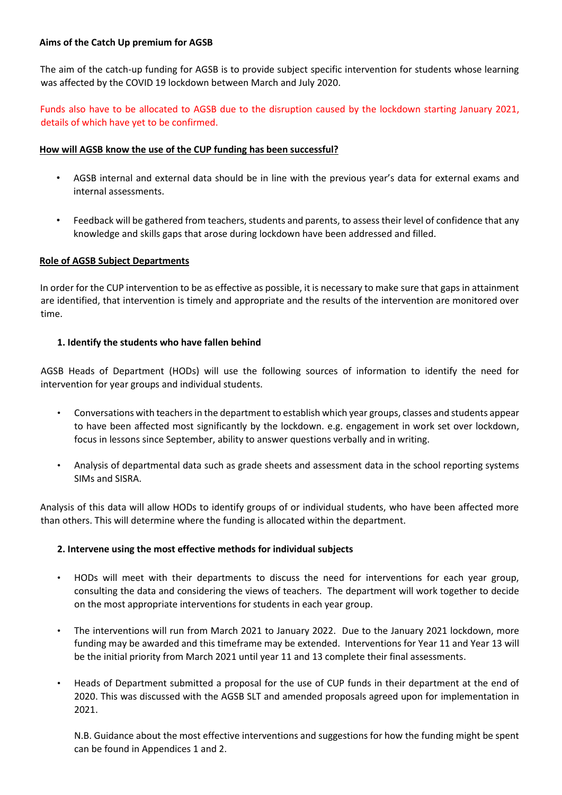#### **Aims of the Catch Up premium for AGSB**

The aim of the catch-up funding for AGSB is to provide subject specific intervention for students whose learning was affected by the COVID 19 lockdown between March and July 2020.

Funds also have to be allocated to AGSB due to the disruption caused by the lockdown starting January 2021, details of which have yet to be confirmed.

#### **How will AGSB know the use of the CUP funding has been successful?**

- AGSB internal and external data should be in line with the previous year's data for external exams and internal assessments.
- Feedback will be gathered from teachers, students and parents, to assess their level of confidence that any knowledge and skills gaps that arose during lockdown have been addressed and filled.

#### **Role of AGSB Subject Departments**

In order for the CUP intervention to be as effective as possible, it is necessary to make sure that gaps in attainment are identified, that intervention is timely and appropriate and the results of the intervention are monitored over time.

#### **1. Identify the students who have fallen behind**

AGSB Heads of Department (HODs) will use the following sources of information to identify the need for intervention for year groups and individual students.

- Conversations with teachers in the department to establish which year groups, classes and students appear to have been affected most significantly by the lockdown. e.g. engagement in work set over lockdown, focus in lessons since September, ability to answer questions verbally and in writing.
- Analysis of departmental data such as grade sheets and assessment data in the school reporting systems SIMs and SISRA.

Analysis of this data will allow HODs to identify groups of or individual students, who have been affected more than others. This will determine where the funding is allocated within the department.

#### **2. Intervene using the most effective methods for individual subjects**

- HODs will meet with their departments to discuss the need for interventions for each year group, consulting the data and considering the views of teachers. The department will work together to decide on the most appropriate interventions for students in each year group.
- The interventions will run from March 2021 to January 2022. Due to the January 2021 lockdown, more funding may be awarded and this timeframe may be extended. Interventions for Year 11 and Year 13 will be the initial priority from March 2021 until year 11 and 13 complete their final assessments.
- Heads of Department submitted a proposal for the use of CUP funds in their department at the end of 2020. This was discussed with the AGSB SLT and amended proposals agreed upon for implementation in 2021.

N.B. Guidance about the most effective interventions and suggestions for how the funding might be spent can be found in Appendices 1 and 2.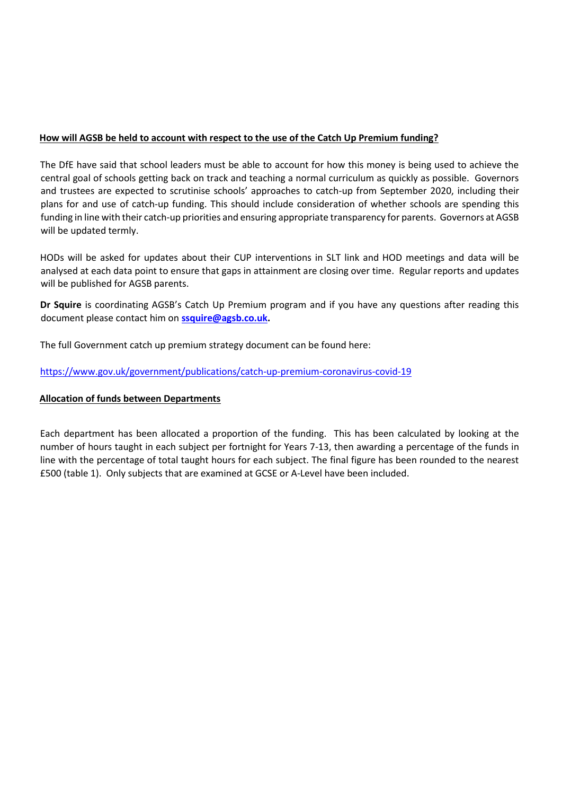#### **How will AGSB be held to account with respect to the use of the Catch Up Premium funding?**

The DfE have said that school leaders must be able to account for how this money is being used to achieve the central goal of schools getting back on track and teaching a normal curriculum as quickly as possible. Governors and trustees are expected to scrutinise schools' approaches to catch-up from September 2020, including their plans for and use of catch-up funding. This should include consideration of whether schools are spending this funding in line with their catch-up priorities and ensuring appropriate transparency for parents. Governors at AGSB will be updated termly.

HODs will be asked for updates about their CUP interventions in SLT link and HOD meetings and data will be analysed at each data point to ensure that gaps in attainment are closing over time. Regular reports and updates will be published for AGSB parents.

**Dr Squire** is coordinating AGSB's Catch Up Premium program and if you have any questions after reading this document please contact him on **[ssquire@agsb.co.uk.](mailto:ssquire@agsb.co.uk)** 

The full Government catch up premium strategy document can be found here:

<https://www.gov.uk/government/publications/catch-up-premium-coronavirus-covid-19>

#### **Allocation of funds between Departments**

Each department has been allocated a proportion of the funding. This has been calculated by looking at the number of hours taught in each subject per fortnight for Years 7-13, then awarding a percentage of the funds in line with the percentage of total taught hours for each subject. The final figure has been rounded to the nearest £500 (table 1). Only subjects that are examined at GCSE or A-Level have been included.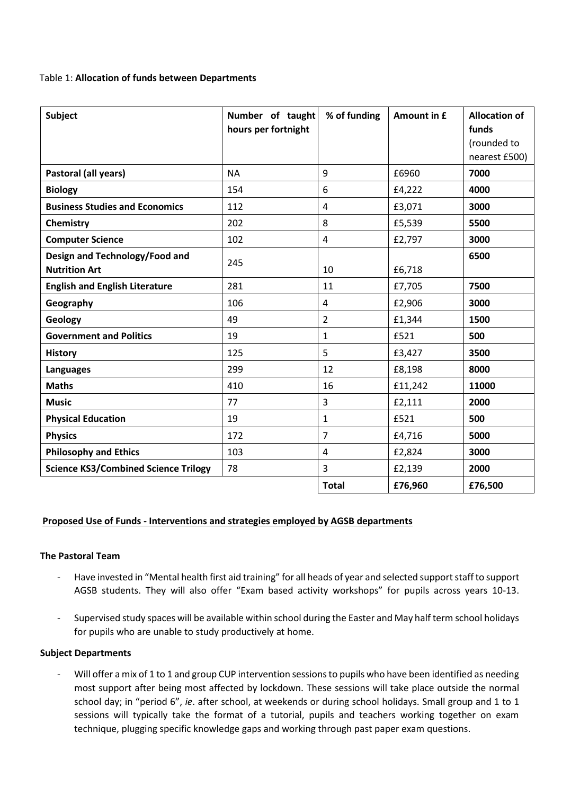#### Table 1: **Allocation of funds between Departments**

| <b>Subject</b>                                         | Number of taught<br>hours per fortnight | % of funding            | Amount in £ | <b>Allocation of</b><br>funds<br>(rounded to<br>nearest £500) |
|--------------------------------------------------------|-----------------------------------------|-------------------------|-------------|---------------------------------------------------------------|
| Pastoral (all years)                                   | <b>NA</b>                               | 9                       | £6960       | 7000                                                          |
| <b>Biology</b>                                         | 154                                     | 6                       | £4,222      | 4000                                                          |
| <b>Business Studies and Economics</b>                  | 112                                     | $\overline{\mathbf{4}}$ | £3,071      | 3000                                                          |
| Chemistry                                              | 202                                     | 8                       | £5,539      | 5500                                                          |
| <b>Computer Science</b>                                | 102                                     | 4                       | £2,797      | 3000                                                          |
| Design and Technology/Food and<br><b>Nutrition Art</b> | 245                                     | 10                      | £6,718      | 6500                                                          |
| <b>English and English Literature</b>                  | 281                                     | 11                      | £7,705      | 7500                                                          |
| Geography                                              | 106                                     | 4                       | £2,906      | 3000                                                          |
| Geology                                                | 49                                      | $\overline{2}$          | £1,344      | 1500                                                          |
| <b>Government and Politics</b>                         | 19                                      | $\mathbf{1}$            | £521        | 500                                                           |
| <b>History</b>                                         | 125                                     | 5                       | £3,427      | 3500                                                          |
| <b>Languages</b>                                       | 299                                     | 12                      | £8,198      | 8000                                                          |
| <b>Maths</b>                                           | 410                                     | 16                      | £11,242     | 11000                                                         |
| <b>Music</b>                                           | 77                                      | 3                       | £2,111      | 2000                                                          |
| <b>Physical Education</b>                              | 19                                      | 1                       | £521        | 500                                                           |
| <b>Physics</b>                                         | 172                                     | $\overline{7}$          | £4,716      | 5000                                                          |
| <b>Philosophy and Ethics</b>                           | 103                                     | 4                       | £2,824      | 3000                                                          |
| <b>Science KS3/Combined Science Trilogy</b>            | 78                                      | 3                       | £2,139      | 2000                                                          |
|                                                        |                                         | <b>Total</b>            | £76,960     | £76,500                                                       |

#### **Proposed Use of Funds - Interventions and strategies employed by AGSB departments**

#### **The Pastoral Team**

- Have invested in "Mental health first aid training" for all heads of year and selected support staff to support AGSB students. They will also offer "Exam based activity workshops" for pupils across years 10-13.
- Supervised study spaces will be available within school during the Easter and May half term school holidays for pupils who are unable to study productively at home.

#### **Subject Departments**

- Will offer a mix of 1 to 1 and group CUP intervention sessions to pupils who have been identified as needing most support after being most affected by lockdown. These sessions will take place outside the normal school day; in "period 6", *ie*. after school, at weekends or during school holidays. Small group and 1 to 1 sessions will typically take the format of a tutorial, pupils and teachers working together on exam technique, plugging specific knowledge gaps and working through past paper exam questions.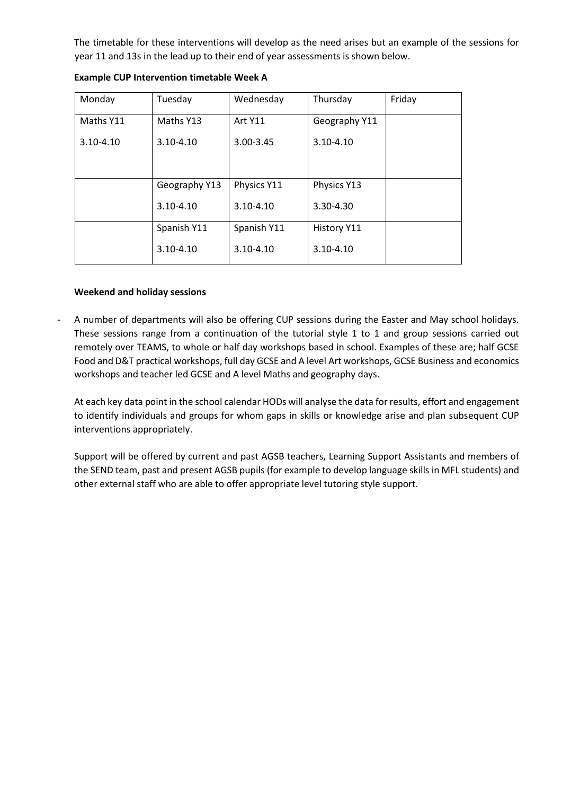The timetable for these interventions will develop as the need arises but an example of the sessions for year 11 and 13s in the lead up to their end of year assessments is shown below.

| Monday        | Tuesday       | Wednesday      | Thursday           | Friday |
|---------------|---------------|----------------|--------------------|--------|
| Maths Y11     | Maths Y13     | <b>Art Y11</b> | Geography Y11      |        |
| $3.10 - 4.10$ | $3.10 - 4.10$ | 3.00-3.45      | $3.10 - 4.10$      |        |
|               |               |                |                    |        |
|               | Geography Y13 | Physics Y11    | Physics Y13        |        |
|               | $3.10 - 4.10$ | $3.10 - 4.10$  | 3.30-4.30          |        |
|               | Spanish Y11   | Spanish Y11    | <b>History Y11</b> |        |
|               | $3.10 - 4.10$ | $3.10 - 4.10$  | $3.10 - 4.10$      |        |

**Example CUP Intervention timetable Week A**

#### **Weekend and holiday sessions**

- A number of departments will also be offering CUP sessions during the Easter and May school holidays. These sessions range from a continuation of the tutorial style 1 to 1 and group sessions carried out remotely over TEAMS, to whole or half day workshops based in school. Examples of these are; half GCSE Food and D&T practical workshops, full day GCSE and A level Art workshops, GCSE Business and economics workshops and teacher led GCSE and A level Maths and geography days.

At each key data point in the school calendar HODs will analyse the data for results, effort and engagement to identify individuals and groups for whom gaps in skills or knowledge arise and plan subsequent CUP interventions appropriately.

Support will be offered by current and past AGSB teachers, Learning Support Assistants and members of the SEND team, past and present AGSB pupils (for example to develop language skills in MFL students) and other external staff who are able to offer appropriate level tutoring style support.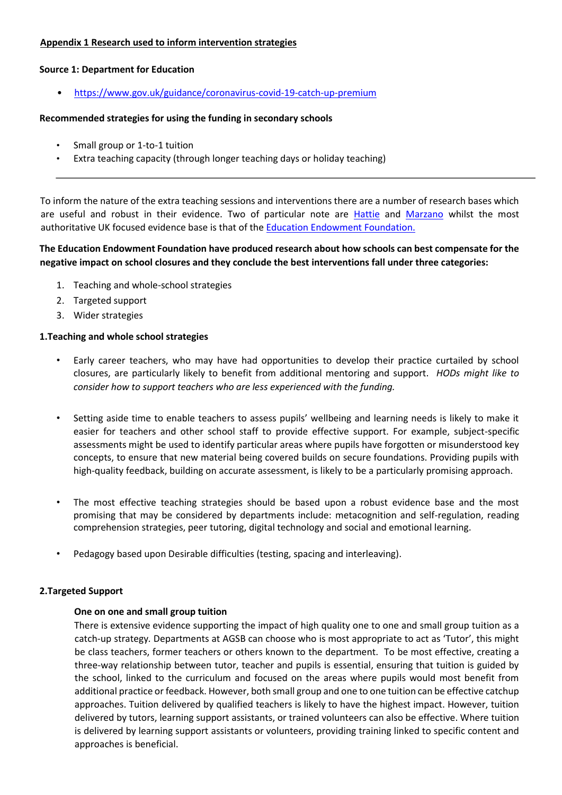#### **Appendix 1 Research used to inform intervention strategies**

#### **Source 1: Department for Education**

• <https://www.gov.uk/guidance/coronavirus-covid-19-catch-up-premium>

#### **Recommended strategies for using the funding in secondary schools**

- Small group or 1-to-1 tuition
- Extra teaching capacity (through longer teaching days or holiday teaching)

To inform the nature of the extra teaching sessions and interventions there are a number of research bases which are useful and robust in their evidence. Two of particular note are [Hattie](https://visible-learning.org/hattie-ranking-influences-effect-sizes-learning-achievement/) and [Marzano](https://ebtn.org.uk/evidence/marzanos-top-ten/) whilst the most authoritative UK focused evidence base is that of the [Education Endowment Foundation.](https://educationendowmentfoundation.org.uk/evidence-summaries/teaching-learning-toolkit/)

#### **The Education Endowment Foundation have produced research about how schools can best compensate for the negative impact on school closures and they conclude the best interventions fall under three categories:**

- 1. Teaching and whole-school strategies
- 2. Targeted support
- 3. Wider strategies

#### **1.Teaching and whole school strategies**

- Early career teachers, who may have had opportunities to develop their practice curtailed by school closures, are particularly likely to benefit from additional mentoring and support. *HODs might like to consider how to support teachers who are less experienced with the funding.*
- Setting aside time to enable teachers to assess pupils' wellbeing and learning needs is likely to make it easier for teachers and other school staff to provide effective support. For example, subject-specific assessments might be used to identify particular areas where pupils have forgotten or misunderstood key concepts, to ensure that new material being covered builds on secure foundations. Providing pupils with high-quality feedback, building on accurate assessment, is likely to be a particularly promising approach.
- The most effective teaching strategies should be based upon a robust evidence base and the most promising that may be considered by departments include: metacognition and self-regulation, reading comprehension strategies, peer tutoring, digital technology and social and emotional learning.
- Pedagogy based upon Desirable difficulties (testing, spacing and interleaving).

#### **2.Targeted Support**

#### **One on one and small group tuition**

There is extensive evidence supporting the impact of high quality one to one and small group tuition as a catch-up strategy*.* Departments at AGSB can choose who is most appropriate to act as 'Tutor', this might be class teachers, former teachers or others known to the department.To be most effective, creating a three-way relationship between tutor, teacher and pupils is essential, ensuring that tuition is guided by the school, linked to the curriculum and focused on the areas where pupils would most benefit from additional practice or feedback. However, both small group and one to one tuition can be effective catchup approaches. Tuition delivered by qualified teachers is likely to have the highest impact. However, tuition delivered by tutors, learning support assistants, or trained volunteers can also be effective. Where tuition is delivered by learning support assistants or volunteers, providing training linked to specific content and approaches is beneficial.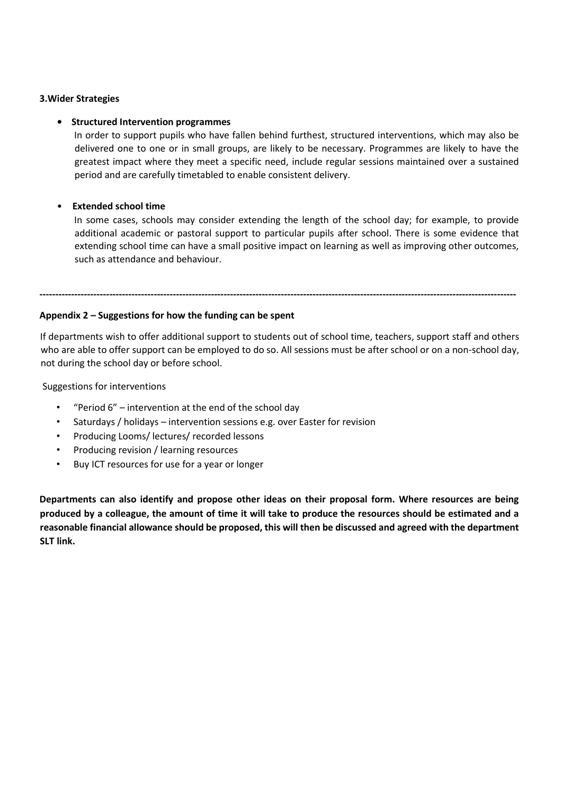#### **3.Wider Strategies**

#### **• Structured Intervention programmes**

In order to support pupils who have fallen behind furthest, structured interventions, which may also be delivered one to one or in small groups, are likely to be necessary. Programmes are likely to have the greatest impact where they meet a specific need, include regular sessions maintained over a sustained period and are carefully timetabled to enable consistent delivery.

#### • **Extended school time**

In some cases, schools may consider extending the length of the school day; for example, to provide additional academic or pastoral support to particular pupils after school. There is some evidence that extending school time can have a small positive impact on learning as well as improving other outcomes, such as attendance and behaviour.

### **Appendix 2 – Suggestions for how the funding can be spent**

If departments wish to offer additional support to students out of school time, teachers, support staff and others who are able to offer support can be employed to do so. All sessions must be after school or on a non-school day, not during the school day or before school.

**------------------------------------------------------------------------------------------------------------------------------------------------------**

Suggestions for interventions

- "Period 6" intervention at the end of the school day
- Saturdays / holidays intervention sessions e.g. over Easter for revision
- Producing Looms/ lectures/ recorded lessons
- Producing revision / learning resources
- Buy ICT resources for use for a year or longer

**Departments can also identify and propose other ideas on their proposal form. Where resources are being produced by a colleague, the amount of time it will take to produce the resources should be estimated and a reasonable financial allowance should be proposed, this will then be discussed and agreed with the department SLT link.**